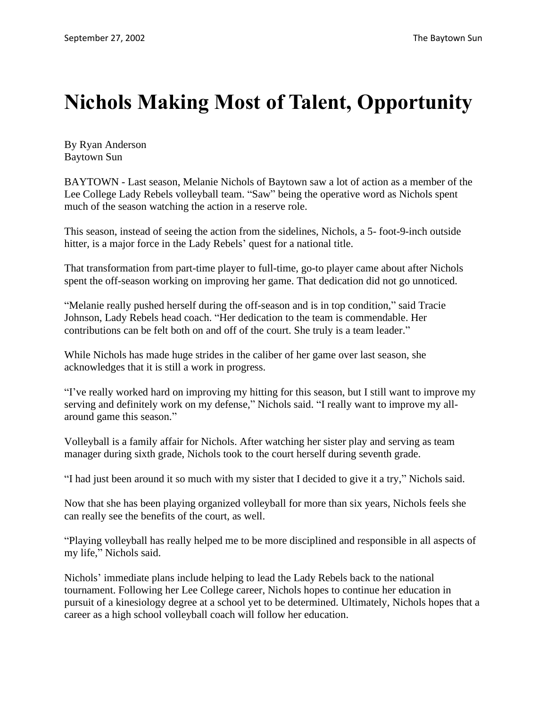## **Nichols Making Most of Talent, Opportunity**

By Ryan Anderson Baytown Sun

BAYTOWN - Last season, Melanie Nichols of Baytown saw a lot of action as a member of the Lee College Lady Rebels volleyball team. "Saw" being the operative word as Nichols spent much of the season watching the action in a reserve role.

This season, instead of seeing the action from the sidelines, Nichols, a 5- foot-9-inch outside hitter, is a major force in the Lady Rebels' quest for a national title.

That transformation from part-time player to full-time, go-to player came about after Nichols spent the off-season working on improving her game. That dedication did not go unnoticed.

"Melanie really pushed herself during the off-season and is in top condition," said Tracie Johnson, Lady Rebels head coach. "Her dedication to the team is commendable. Her contributions can be felt both on and off of the court. She truly is a team leader."

While Nichols has made huge strides in the caliber of her game over last season, she acknowledges that it is still a work in progress.

"I've really worked hard on improving my hitting for this season, but I still want to improve my serving and definitely work on my defense," Nichols said. "I really want to improve my allaround game this season."

Volleyball is a family affair for Nichols. After watching her sister play and serving as team manager during sixth grade, Nichols took to the court herself during seventh grade.

"I had just been around it so much with my sister that I decided to give it a try," Nichols said.

Now that she has been playing organized volleyball for more than six years, Nichols feels she can really see the benefits of the court, as well.

"Playing volleyball has really helped me to be more disciplined and responsible in all aspects of my life," Nichols said.

Nichols' immediate plans include helping to lead the Lady Rebels back to the national tournament. Following her Lee College career, Nichols hopes to continue her education in pursuit of a kinesiology degree at a school yet to be determined. Ultimately, Nichols hopes that a career as a high school volleyball coach will follow her education.